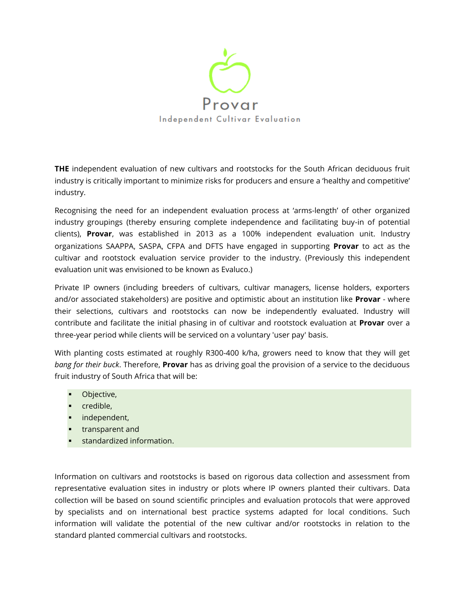

**THE** independent evaluation of new cultivars and rootstocks for the South African deciduous fruit industry is critically important to minimize risks for producers and ensure a 'healthy and competitive' industry.

Recognising the need for an independent evaluation process at 'arms-length' of other organized industry groupings (thereby ensuring complete independence and facilitating buy-in of potential clients), **Provar**, was established in 2013 as a 100% independent evaluation unit. Industry organizations SAAPPA, SASPA, CFPA and DFTS have engaged in supporting **Provar** to act as the cultivar and rootstock evaluation service provider to the industry. (Previously this independent evaluation unit was envisioned to be known as Evaluco.)

Private IP owners (including breeders of cultivars, cultivar managers, license holders, exporters and/or associated stakeholders) are positive and optimistic about an institution like **Provar** - where their selections, cultivars and rootstocks can now be independently evaluated. Industry will contribute and facilitate the initial phasing in of cultivar and rootstock evaluation at **Provar** over a three-year period while clients will be serviced on a voluntary 'user pay' basis.

With planting costs estimated at roughly R300-400 k/ha, growers need to know that they will get *bang for their buck*. Therefore, **Provar** has as driving goal the provision of a service to the deciduous fruit industry of South Africa that will be:

- **•** Objective,
- **•** credible,
- independent,
- **transparent and**
- **standardized information.**

Information on cultivars and rootstocks is based on rigorous data collection and assessment from representative evaluation sites in industry or plots where IP owners planted their cultivars. Data collection will be based on sound scientific principles and evaluation protocols that were approved by specialists and on international best practice systems adapted for local conditions. Such information will validate the potential of the new cultivar and/or rootstocks in relation to the standard planted commercial cultivars and rootstocks.